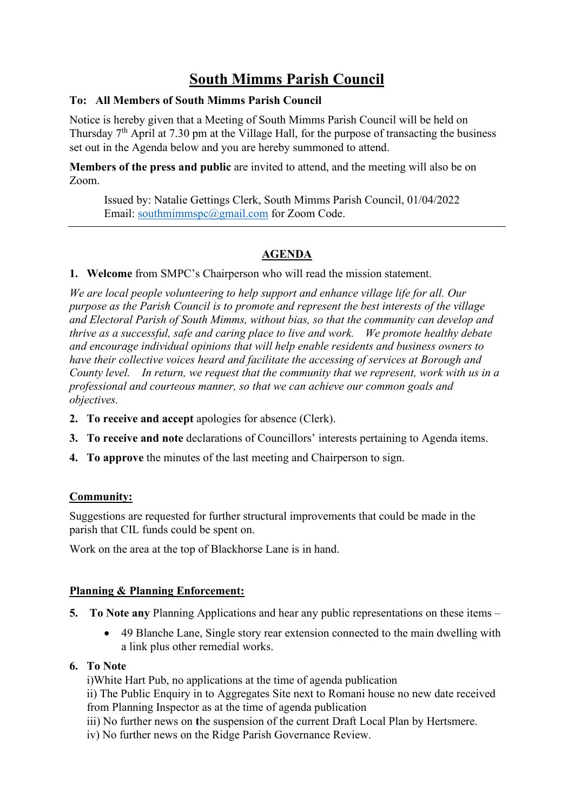# **South Mimms Parish Council**

#### **To: All Members of South Mimms Parish Council**

Notice is hereby given that a Meeting of South Mimms Parish Council will be held on Thursday  $7<sup>th</sup>$  April at 7.30 pm at the Village Hall, for the purpose of transacting the business set out in the Agenda below and you are hereby summoned to attend.

**Members of the press and public** are invited to attend, and the meeting will also be on Zoom.

Issued by: Natalie Gettings Clerk, South Mimms Parish Council, 01/04/2022 Email: [southmimmspc@gmail.com](mailto:southmimmspc@gmail.com) for Zoom Code.

# **AGENDA**

**1. Welcome** from SMPC's Chairperson who will read the mission statement.

*We are local people volunteering to help support and enhance village life for all. Our purpose as the Parish Council is to promote and represent the best interests of the village and Electoral Parish of South Mimms, without bias, so that the community can develop and thrive as a successful, safe and caring place to live and work.  We promote healthy debate and encourage individual opinions that will help enable residents and business owners to have their collective voices heard and facilitate the accessing of services at Borough and County level. In return, we request that the community that we represent, work with us in a professional and courteous manner, so that we can achieve our common goals and objectives.*

- **2. To receive and accept** apologies for absence (Clerk).
- **3. To receive and note** declarations of Councillors' interests pertaining to Agenda items.
- **4. To approve** the minutes of the last meeting and Chairperson to sign.

## **Community:**

Suggestions are requested for further structural improvements that could be made in the parish that CIL funds could be spent on.

Work on the area at the top of Blackhorse Lane is in hand.

#### **Planning & Planning Enforcement:**

- **5. To Note any** Planning Applications and hear any public representations on these items
	- 49 Blanche Lane, Single story rear extension connected to the main dwelling with a link plus other remedial works.

#### **6. To Note**

i)White Hart Pub, no applications at the time of agenda publication

ii) The Public Enquiry in to Aggregates Site next to Romani house no new date received from Planning Inspector as at the time of agenda publication

iii) No further news on **t**he suspension of the current Draft Local Plan by Hertsmere.

iv) No further news on the Ridge Parish Governance Review.